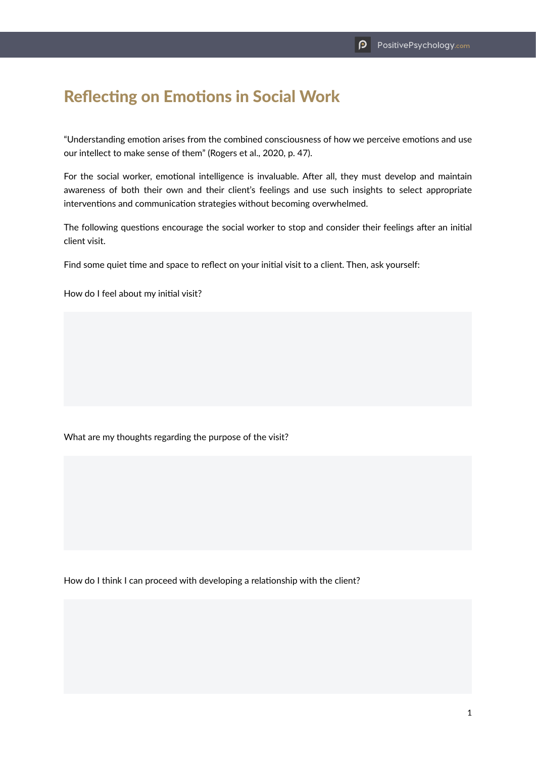## Reflecting on Emotions in Social Work

"Understanding emotion arises from the combined consciousness of how we perceive emotions and use our intellect to make sense of them" (Rogers et al., 2020, p. 47).

For the social worker, emotional intelligence is invaluable. After all, they must develop and maintain awareness of both their own and their client's feelings and use such insights to select appropriate interventions and communication strategies without becoming overwhelmed.

The following questions encourage the social worker to stop and consider their feelings after an initial client visit.

Find some quiet time and space to reflect on your initial visit to a client. Then, ask yourself:

How do I feel about my initial visit?

What are my thoughts regarding the purpose of the visit?

How do I think I can proceed with developing a relationship with the client?